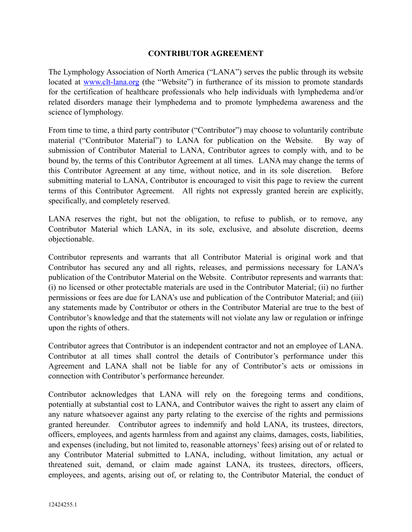## **CONTRIBUTOR AGREEMENT**

The Lymphology Association of North America ("LANA") serves the public through its website located at [www.clt-lana.org](http://www.clt-lana.org) (the "Website") in furtherance of its mission to promote standards for the certification of healthcare professionals who help individuals with lymphedema and/or related disorders manage their lymphedema and to promote lymphedema awareness and the science of lymphology.

From time to time, a third party contributor ("Contributor") may choose to voluntarily contribute material ("Contributor Material") to LANA for publication on the Website. By way of submission of Contributor Material to LANA, Contributor agrees to comply with, and to be bound by, the terms of this Contributor Agreement at all times. LANA may change the terms of this Contributor Agreement at any time, without notice, and in its sole discretion. Before submitting material to LANA, Contributor is encouraged to visit this page to review the current terms of this Contributor Agreement. All rights not expressly granted herein are explicitly, specifically, and completely reserved.

LANA reserves the right, but not the obligation, to refuse to publish, or to remove, any Contributor Material which LANA, in its sole, exclusive, and absolute discretion, deems objectionable.

Contributor represents and warrants that all Contributor Material is original work and that Contributor has secured any and all rights, releases, and permissions necessary for LANA's publication of the Contributor Material on the Website. Contributor represents and warrants that: (i) no licensed or other protectable materials are used in the Contributor Material; (ii) no further permissions or fees are due for LANA's use and publication of the Contributor Material; and (iii) any statements made by Contributor or others in the Contributor Material are true to the best of Contributor's knowledge and that the statements will not violate any law or regulation or infringe upon the rights of others.

Contributor agrees that Contributor is an independent contractor and not an employee of LANA. Contributor at all times shall control the details of Contributor's performance under this Agreement and LANA shall not be liable for any of Contributor's acts or omissions in connection with Contributor's performance hereunder.

Contributor acknowledges that LANA will rely on the foregoing terms and conditions, potentially at substantial cost to LANA, and Contributor waives the right to assert any claim of any nature whatsoever against any party relating to the exercise of the rights and permissions granted hereunder. Contributor agrees to indemnify and hold LANA, its trustees, directors, officers, employees, and agents harmless from and against any claims, damages, costs, liabilities, and expenses (including, but not limited to, reasonable attorneys' fees) arising out of or related to any Contributor Material submitted to LANA, including, without limitation, any actual or threatened suit, demand, or claim made against LANA, its trustees, directors, officers, employees, and agents, arising out of, or relating to, the Contributor Material, the conduct of